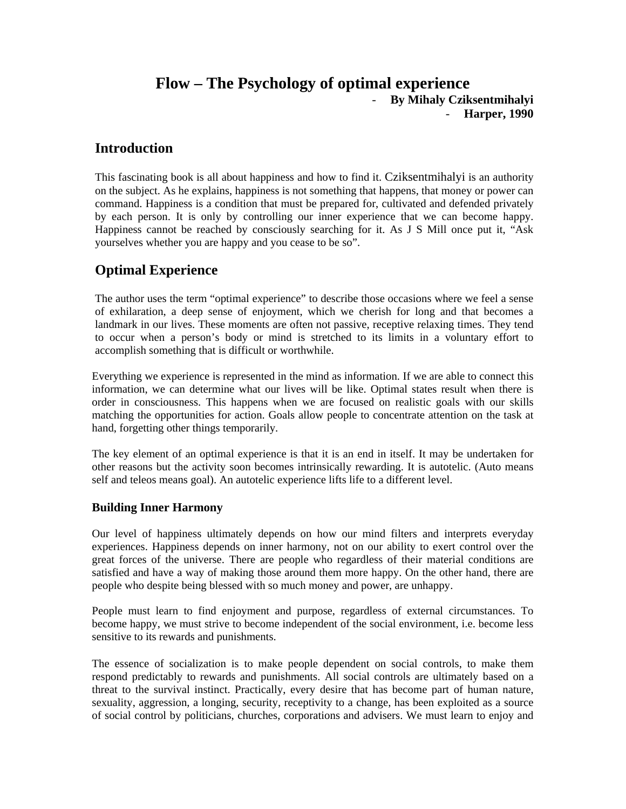# **Flow – The Psychology of optimal experience** - **By Mihaly Cziksentmihalyi**  - **Harper, 1990**

# **Introduction**

This fascinating book is all about happiness and how to find it. Cziksentmihalyi is an authority on the subject. As he explains, happiness is not something that happens, that money or power can command. Happiness is a condition that must be prepared for, cultivated and defended privately by each person. It is only by controlling our inner experience that we can become happy. Happiness cannot be reached by consciously searching for it. As J S Mill once put it, "Ask yourselves whether you are happy and you cease to be so".

# **Optimal Experience**

The author uses the term "optimal experience" to describe those occasions where we feel a sense of exhilaration, a deep sense of enjoyment, which we cherish for long and that becomes a landmark in our lives. These moments are often not passive, receptive relaxing times. They tend to occur when a person's body or mind is stretched to its limits in a voluntary effort to accomplish something that is difficult or worthwhile.

Everything we experience is represented in the mind as information. If we are able to connect this information, we can determine what our lives will be like. Optimal states result when there is order in consciousness. This happens when we are focused on realistic goals with our skills matching the opportunities for action. Goals allow people to concentrate attention on the task at hand, forgetting other things temporarily.

The key element of an optimal experience is that it is an end in itself. It may be undertaken for other reasons but the activity soon becomes intrinsically rewarding. It is autotelic. (Auto means self and teleos means goal). An autotelic experience lifts life to a different level.

## **Building Inner Harmony**

Our level of happiness ultimately depends on how our mind filters and interprets everyday experiences. Happiness depends on inner harmony, not on our ability to exert control over the great forces of the universe. There are people who regardless of their material conditions are satisfied and have a way of making those around them more happy. On the other hand, there are people who despite being blessed with so much money and power, are unhappy.

People must learn to find enjoyment and purpose, regardless of external circumstances. To become happy, we must strive to become independent of the social environment, i.e. become less sensitive to its rewards and punishments.

The essence of socialization is to make people dependent on social controls, to make them respond predictably to rewards and punishments. All social controls are ultimately based on a threat to the survival instinct. Practically, every desire that has become part of human nature, sexuality, aggression, a longing, security, receptivity to a change, has been exploited as a source of social control by politicians, churches, corporations and advisers. We must learn to enjoy and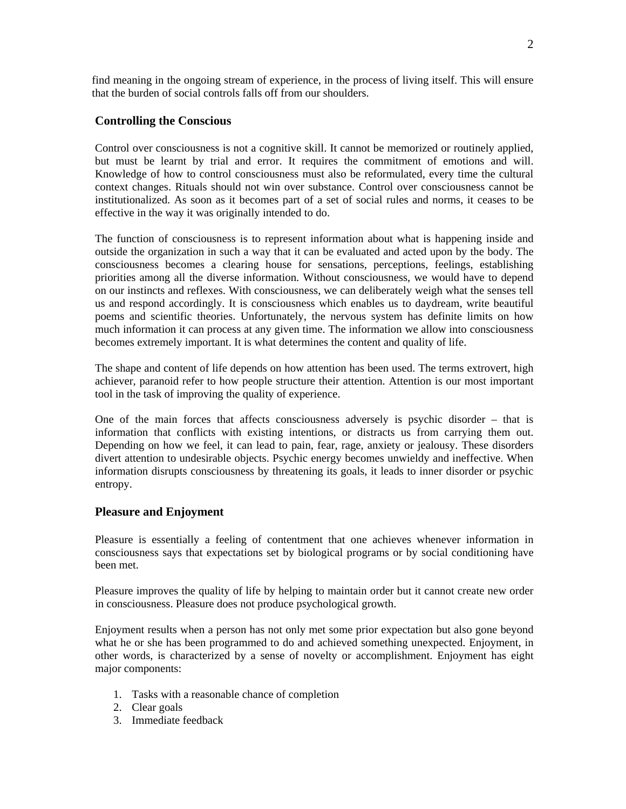find meaning in the ongoing stream of experience, in the process of living itself. This will ensure that the burden of social controls falls off from our shoulders.

#### **Controlling the Conscious**

Control over consciousness is not a cognitive skill. It cannot be memorized or routinely applied, but must be learnt by trial and error. It requires the commitment of emotions and will. Knowledge of how to control consciousness must also be reformulated, every time the cultural context changes. Rituals should not win over substance. Control over consciousness cannot be institutionalized. As soon as it becomes part of a set of social rules and norms, it ceases to be effective in the way it was originally intended to do.

The function of consciousness is to represent information about what is happening inside and outside the organization in such a way that it can be evaluated and acted upon by the body. The consciousness becomes a clearing house for sensations, perceptions, feelings, establishing priorities among all the diverse information. Without consciousness, we would have to depend on our instincts and reflexes. With consciousness, we can deliberately weigh what the senses tell us and respond accordingly. It is consciousness which enables us to daydream, write beautiful poems and scientific theories. Unfortunately, the nervous system has definite limits on how much information it can process at any given time. The information we allow into consciousness becomes extremely important. It is what determines the content and quality of life.

The shape and content of life depends on how attention has been used. The terms extrovert, high achiever, paranoid refer to how people structure their attention. Attention is our most important tool in the task of improving the quality of experience.

One of the main forces that affects consciousness adversely is psychic disorder – that is information that conflicts with existing intentions, or distracts us from carrying them out. Depending on how we feel, it can lead to pain, fear, rage, anxiety or jealousy. These disorders divert attention to undesirable objects. Psychic energy becomes unwieldy and ineffective. When information disrupts consciousness by threatening its goals, it leads to inner disorder or psychic entropy.

#### **Pleasure and Enjoyment**

Pleasure is essentially a feeling of contentment that one achieves whenever information in consciousness says that expectations set by biological programs or by social conditioning have been met.

Pleasure improves the quality of life by helping to maintain order but it cannot create new order in consciousness. Pleasure does not produce psychological growth.

Enjoyment results when a person has not only met some prior expectation but also gone beyond what he or she has been programmed to do and achieved something unexpected. Enjoyment, in other words, is characterized by a sense of novelty or accomplishment. Enjoyment has eight major components:

- 1. Tasks with a reasonable chance of completion
- 2. Clear goals
- 3. Immediate feedback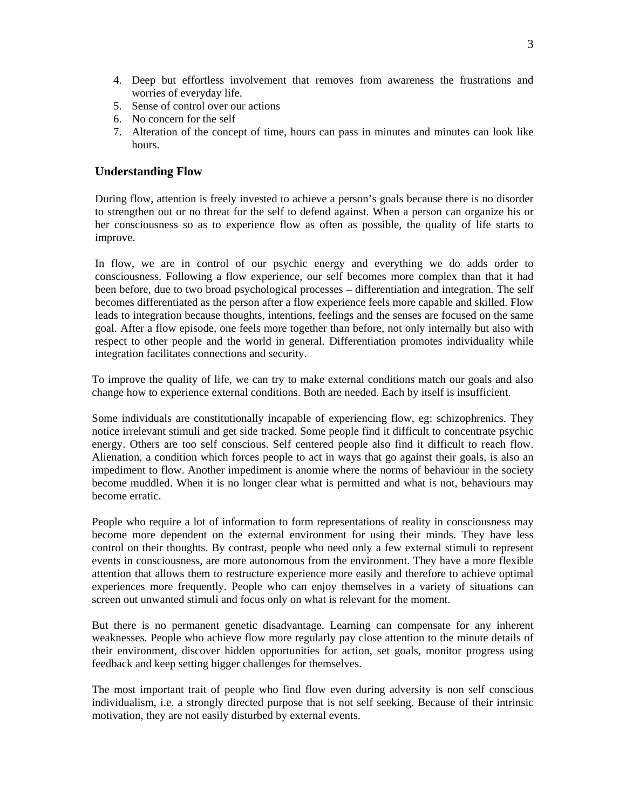- 4. Deep but effortless involvement that removes from awareness the frustrations and worries of everyday life.
- 5. Sense of control over our actions
- 6. No concern for the self
- 7. Alteration of the concept of time, hours can pass in minutes and minutes can look like hours.

#### **Understanding Flow**

During flow, attention is freely invested to achieve a person's goals because there is no disorder to strengthen out or no threat for the self to defend against. When a person can organize his or her consciousness so as to experience flow as often as possible, the quality of life starts to improve.

In flow, we are in control of our psychic energy and everything we do adds order to consciousness. Following a flow experience, our self becomes more complex than that it had been before, due to two broad psychological processes – differentiation and integration. The self becomes differentiated as the person after a flow experience feels more capable and skilled. Flow leads to integration because thoughts, intentions, feelings and the senses are focused on the same goal. After a flow episode, one feels more together than before, not only internally but also with respect to other people and the world in general. Differentiation promotes individuality while integration facilitates connections and security.

To improve the quality of life, we can try to make external conditions match our goals and also change how to experience external conditions. Both are needed. Each by itself is insufficient.

Some individuals are constitutionally incapable of experiencing flow, eg: schizophrenics. They notice irrelevant stimuli and get side tracked. Some people find it difficult to concentrate psychic energy. Others are too self conscious. Self centered people also find it difficult to reach flow. Alienation, a condition which forces people to act in ways that go against their goals, is also an impediment to flow. Another impediment is anomie where the norms of behaviour in the society become muddled. When it is no longer clear what is permitted and what is not, behaviours may become erratic.

People who require a lot of information to form representations of reality in consciousness may become more dependent on the external environment for using their minds. They have less control on their thoughts. By contrast, people who need only a few external stimuli to represent events in consciousness, are more autonomous from the environment. They have a more flexible attention that allows them to restructure experience more easily and therefore to achieve optimal experiences more frequently. People who can enjoy themselves in a variety of situations can screen out unwanted stimuli and focus only on what is relevant for the moment.

But there is no permanent genetic disadvantage. Learning can compensate for any inherent weaknesses. People who achieve flow more regularly pay close attention to the minute details of their environment, discover hidden opportunities for action, set goals, monitor progress using feedback and keep setting bigger challenges for themselves.

The most important trait of people who find flow even during adversity is non self conscious individualism, i.e. a strongly directed purpose that is not self seeking. Because of their intrinsic motivation, they are not easily disturbed by external events.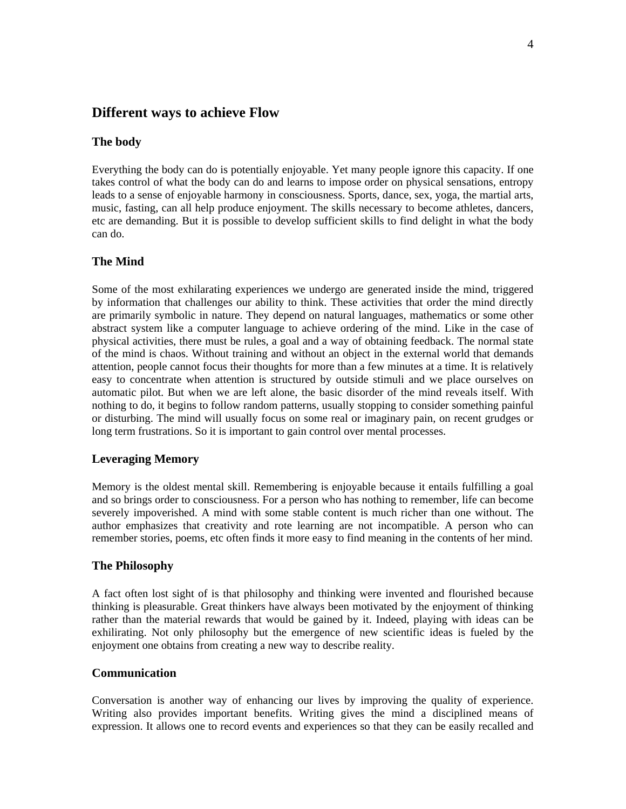# **Different ways to achieve Flow**

#### **The body**

Everything the body can do is potentially enjoyable. Yet many people ignore this capacity. If one takes control of what the body can do and learns to impose order on physical sensations, entropy leads to a sense of enjoyable harmony in consciousness. Sports, dance, sex, yoga, the martial arts, music, fasting, can all help produce enjoyment. The skills necessary to become athletes, dancers, etc are demanding. But it is possible to develop sufficient skills to find delight in what the body can do.

#### **The Mind**

Some of the most exhilarating experiences we undergo are generated inside the mind, triggered by information that challenges our ability to think. These activities that order the mind directly are primarily symbolic in nature. They depend on natural languages, mathematics or some other abstract system like a computer language to achieve ordering of the mind. Like in the case of physical activities, there must be rules, a goal and a way of obtaining feedback. The normal state of the mind is chaos. Without training and without an object in the external world that demands attention, people cannot focus their thoughts for more than a few minutes at a time. It is relatively easy to concentrate when attention is structured by outside stimuli and we place ourselves on automatic pilot. But when we are left alone, the basic disorder of the mind reveals itself. With nothing to do, it begins to follow random patterns, usually stopping to consider something painful or disturbing. The mind will usually focus on some real or imaginary pain, on recent grudges or long term frustrations. So it is important to gain control over mental processes.

#### **Leveraging Memory**

Memory is the oldest mental skill. Remembering is enjoyable because it entails fulfilling a goal and so brings order to consciousness. For a person who has nothing to remember, life can become severely impoverished. A mind with some stable content is much richer than one without. The author emphasizes that creativity and rote learning are not incompatible. A person who can remember stories, poems, etc often finds it more easy to find meaning in the contents of her mind.

#### **The Philosophy**

A fact often lost sight of is that philosophy and thinking were invented and flourished because thinking is pleasurable. Great thinkers have always been motivated by the enjoyment of thinking rather than the material rewards that would be gained by it. Indeed, playing with ideas can be exhilirating. Not only philosophy but the emergence of new scientific ideas is fueled by the enjoyment one obtains from creating a new way to describe reality.

## **Communication**

Conversation is another way of enhancing our lives by improving the quality of experience. Writing also provides important benefits. Writing gives the mind a disciplined means of expression. It allows one to record events and experiences so that they can be easily recalled and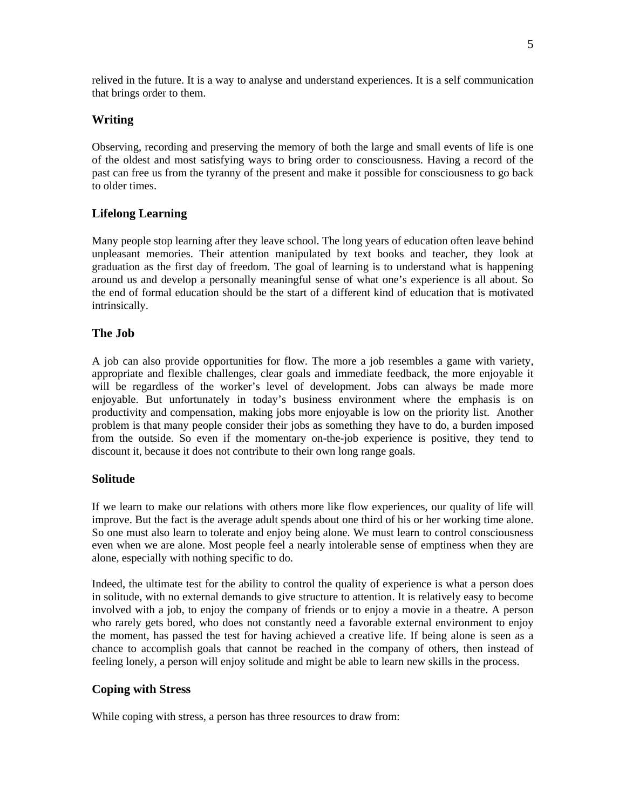relived in the future. It is a way to analyse and understand experiences. It is a self communication that brings order to them.

## **Writing**

Observing, recording and preserving the memory of both the large and small events of life is one of the oldest and most satisfying ways to bring order to consciousness. Having a record of the past can free us from the tyranny of the present and make it possible for consciousness to go back to older times.

## **Lifelong Learning**

Many people stop learning after they leave school. The long years of education often leave behind unpleasant memories. Their attention manipulated by text books and teacher, they look at graduation as the first day of freedom. The goal of learning is to understand what is happening around us and develop a personally meaningful sense of what one's experience is all about. So the end of formal education should be the start of a different kind of education that is motivated intrinsically.

## **The Job**

A job can also provide opportunities for flow. The more a job resembles a game with variety, appropriate and flexible challenges, clear goals and immediate feedback, the more enjoyable it will be regardless of the worker's level of development. Jobs can always be made more enjoyable. But unfortunately in today's business environment where the emphasis is on productivity and compensation, making jobs more enjoyable is low on the priority list. Another problem is that many people consider their jobs as something they have to do, a burden imposed from the outside. So even if the momentary on-the-job experience is positive, they tend to discount it, because it does not contribute to their own long range goals.

## **Solitude**

If we learn to make our relations with others more like flow experiences, our quality of life will improve. But the fact is the average adult spends about one third of his or her working time alone. So one must also learn to tolerate and enjoy being alone. We must learn to control consciousness even when we are alone. Most people feel a nearly intolerable sense of emptiness when they are alone, especially with nothing specific to do.

Indeed, the ultimate test for the ability to control the quality of experience is what a person does in solitude, with no external demands to give structure to attention. It is relatively easy to become involved with a job, to enjoy the company of friends or to enjoy a movie in a theatre. A person who rarely gets bored, who does not constantly need a favorable external environment to enjoy the moment, has passed the test for having achieved a creative life. If being alone is seen as a chance to accomplish goals that cannot be reached in the company of others, then instead of feeling lonely, a person will enjoy solitude and might be able to learn new skills in the process.

## **Coping with Stress**

While coping with stress, a person has three resources to draw from: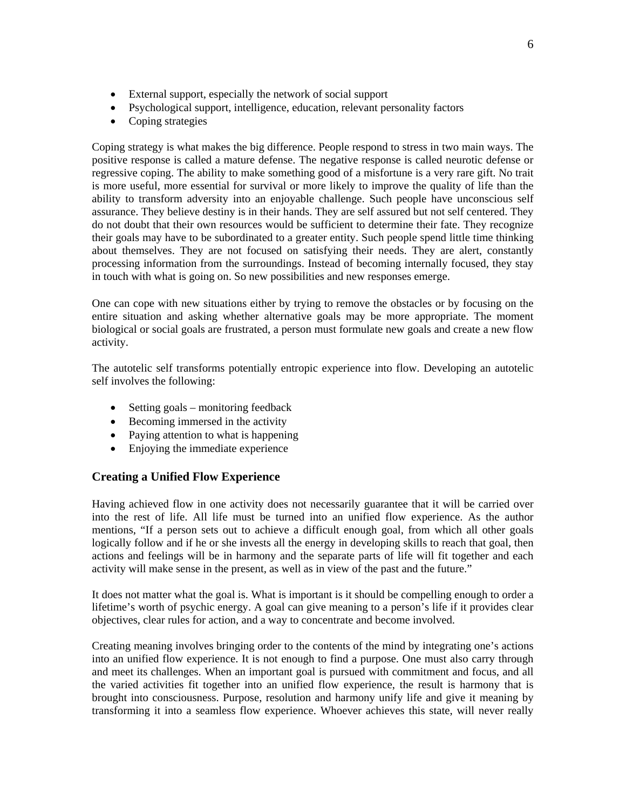- External support, especially the network of social support
- Psychological support, intelligence, education, relevant personality factors
- Coping strategies

Coping strategy is what makes the big difference. People respond to stress in two main ways. The positive response is called a mature defense. The negative response is called neurotic defense or regressive coping. The ability to make something good of a misfortune is a very rare gift. No trait is more useful, more essential for survival or more likely to improve the quality of life than the ability to transform adversity into an enjoyable challenge. Such people have unconscious self assurance. They believe destiny is in their hands. They are self assured but not self centered. They do not doubt that their own resources would be sufficient to determine their fate. They recognize their goals may have to be subordinated to a greater entity. Such people spend little time thinking about themselves. They are not focused on satisfying their needs. They are alert, constantly processing information from the surroundings. Instead of becoming internally focused, they stay in touch with what is going on. So new possibilities and new responses emerge.

One can cope with new situations either by trying to remove the obstacles or by focusing on the entire situation and asking whether alternative goals may be more appropriate. The moment biological or social goals are frustrated, a person must formulate new goals and create a new flow activity.

The autotelic self transforms potentially entropic experience into flow. Developing an autotelic self involves the following:

- Setting goals monitoring feedback
- Becoming immersed in the activity
- Paying attention to what is happening
- Enjoying the immediate experience

## **Creating a Unified Flow Experience**

Having achieved flow in one activity does not necessarily guarantee that it will be carried over into the rest of life. All life must be turned into an unified flow experience. As the author mentions, "If a person sets out to achieve a difficult enough goal, from which all other goals logically follow and if he or she invests all the energy in developing skills to reach that goal, then actions and feelings will be in harmony and the separate parts of life will fit together and each activity will make sense in the present, as well as in view of the past and the future."

It does not matter what the goal is. What is important is it should be compelling enough to order a lifetime's worth of psychic energy. A goal can give meaning to a person's life if it provides clear objectives, clear rules for action, and a way to concentrate and become involved.

Creating meaning involves bringing order to the contents of the mind by integrating one's actions into an unified flow experience. It is not enough to find a purpose. One must also carry through and meet its challenges. When an important goal is pursued with commitment and focus, and all the varied activities fit together into an unified flow experience, the result is harmony that is brought into consciousness. Purpose, resolution and harmony unify life and give it meaning by transforming it into a seamless flow experience. Whoever achieves this state, will never really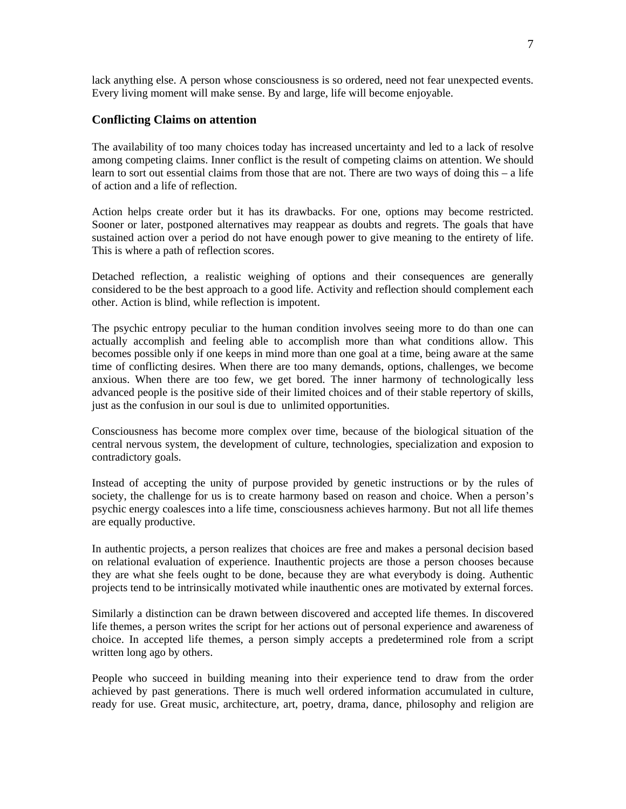lack anything else. A person whose consciousness is so ordered, need not fear unexpected events. Every living moment will make sense. By and large, life will become enjoyable.

#### **Conflicting Claims on attention**

The availability of too many choices today has increased uncertainty and led to a lack of resolve among competing claims. Inner conflict is the result of competing claims on attention. We should learn to sort out essential claims from those that are not. There are two ways of doing this – a life of action and a life of reflection.

Action helps create order but it has its drawbacks. For one, options may become restricted. Sooner or later, postponed alternatives may reappear as doubts and regrets. The goals that have sustained action over a period do not have enough power to give meaning to the entirety of life. This is where a path of reflection scores.

Detached reflection, a realistic weighing of options and their consequences are generally considered to be the best approach to a good life. Activity and reflection should complement each other. Action is blind, while reflection is impotent.

The psychic entropy peculiar to the human condition involves seeing more to do than one can actually accomplish and feeling able to accomplish more than what conditions allow. This becomes possible only if one keeps in mind more than one goal at a time, being aware at the same time of conflicting desires. When there are too many demands, options, challenges, we become anxious. When there are too few, we get bored. The inner harmony of technologically less advanced people is the positive side of their limited choices and of their stable repertory of skills, just as the confusion in our soul is due to unlimited opportunities.

Consciousness has become more complex over time, because of the biological situation of the central nervous system, the development of culture, technologies, specialization and exposion to contradictory goals.

Instead of accepting the unity of purpose provided by genetic instructions or by the rules of society, the challenge for us is to create harmony based on reason and choice. When a person's psychic energy coalesces into a life time, consciousness achieves harmony. But not all life themes are equally productive.

In authentic projects, a person realizes that choices are free and makes a personal decision based on relational evaluation of experience. Inauthentic projects are those a person chooses because they are what she feels ought to be done, because they are what everybody is doing. Authentic projects tend to be intrinsically motivated while inauthentic ones are motivated by external forces.

Similarly a distinction can be drawn between discovered and accepted life themes. In discovered life themes, a person writes the script for her actions out of personal experience and awareness of choice. In accepted life themes, a person simply accepts a predetermined role from a script written long ago by others.

People who succeed in building meaning into their experience tend to draw from the order achieved by past generations. There is much well ordered information accumulated in culture, ready for use. Great music, architecture, art, poetry, drama, dance, philosophy and religion are